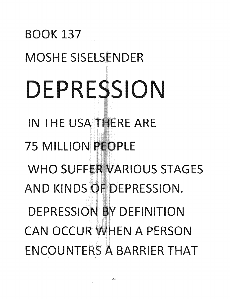## BOOK 137 MOSHE SISELSENDER **DEPRE SION**  IN THE USA THERE ARE **75 MILLION PEOPLE WHO SUFFER VARIOUS STAGES** AND KINDS OF DEPRESSION. DEPRESSION BY DEFINITION **CAN OCCUR WHEN A PERSON** ENCOUNTE S A BARRIER **THAT**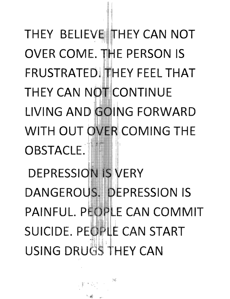THEY BELIEVE THEY CAN NOT OVER COME. THE PERSON IS FRUSTRATED! HEY FEEL THAT THEY CAN NOT CONTINUE LIVING AND GOING FORWARI ITH OUT OVER COMING THE OBSTACLE.

EPRESSION IS VER' ANGEROUS. DEPRESSION IS PAINFUL. PEORLE CAN COMMIT SUICIDE. PEOPLE CAN START USING DRUGS THEY CAN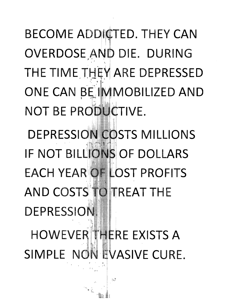**BECOME ADDICTED. THEY CAN** OVERDOSE AND DIE. DURING THE TIME THEY ARE DEPRESSED ONE CAN BE IMMOBILIZED AND NOT BE PRODUCTIVE.

DEPRESSION COSTS MILLIONS **IF NOT BILLIONS OF DOLLARS EACH YEAR OF LOST PROFITS** AND COSTS TO TREAT THE **DEPRESSION** HOWEVER THERE EXISTS A SIMPLE NON EVASIVE CURE.

 $\mathcal{L}$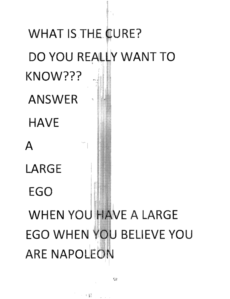## WHAT IS THE CURE? DO YOU REALLY WANT TO KNOW??? **ANSWER HAVE**  $\mathbf{A}$ LARGE EGO **WHEN YOU HAVE A LARGE** EGO WHEN YOU BELIEVE YOU **ARE NAPOLEON**

58

 $\sim$  +  $\mathbb{S}^1_+$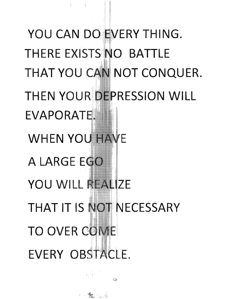YOU CAN DO EVERY THING. THERE EXISTS NO BATTLE THAT YOU CAN NOT CONQUER. THEN YOUR DEPRESSION WILL EVAPORATE. **WHEN YOU HAVE** A LARGE EGO YOU WILL REALIZE THAT IT IS NOT NECESSARY **TO** OWER EVERY OBSTACLE.

e Ste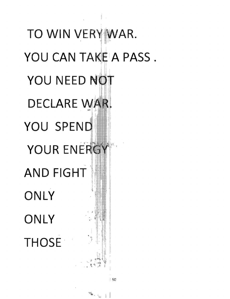TO WIN VERY WAR. YOU CAN TAKE A PASS. YOU NEED NOT DECLARE WAR YOU SPEND YOUR ENEI  $\mathsf{AND}\,\mathsf{FIGHT}$ ONLY ONLY THOSE'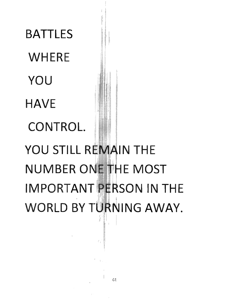**WHERE YOU HAVE CONTROL.** YOU STILL REMAIN THE NUMBER ONE THE MOST **IMPORTANT PERSON IN THE WORLD BY TURNING AWAY.** 

**BATTLES**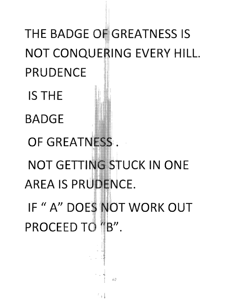THE BADGE OF GREATNESS IS NOT CONQUERING EVERY HILL. **PRUDENCE IS THE BADGE** OF GREATNESS. NOT GETTING STUCK IN ONE **AREA IS PRUDENCE.** IF "A" DOES NOT WORK OUT PROCEED TO 11B".

1.